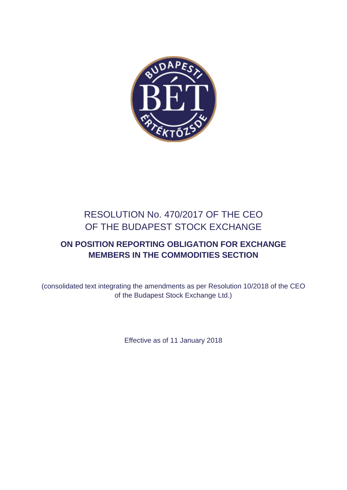

# RESOLUTION No. 470/2017 OF THE CEO OF THE BUDAPEST STOCK EXCHANGE

## **ON POSITION REPORTING OBLIGATION FOR EXCHANGE MEMBERS IN THE COMMODITIES SECTION**

(consolidated text integrating the amendments as per Resolution 10/2018 of the CEO of the Budapest Stock Exchange Ltd.)

Effective as of 11 January 2018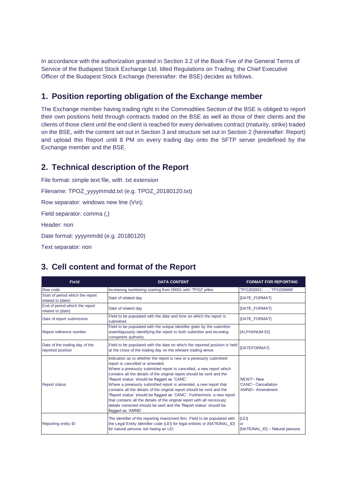In accordance with the authorization granted in Section 3.2 of the Book Five of the General Terms of Service of the Budapest Stock Exchange Ltd. titled Regulations on Trading, the Chief Executive Officer of the Budapest Stock Exchange (hereinafter: the BSE) decides as follows.

#### **1. Position reporting obligation of the Exchange member**

The Exchange member having trading right in the Commodities Section of the BSE is obliged to report their own positions held through contracts traded on the BSE as well as those of their clients and the clients of those client until the end client is reached for every derivatives contract (maturity, strike) traded on the BSE, with the content set out in Section 3 and structure set out in Section 2 (hereinafter: Report) and upload this Report until 8 PM on every trading day onto the SFTP server predefined by the Exchange member and the BSE.

#### **2. Technical description of the Report**

```
File format: simple text file, with .txt extension
Filename: TPOZ_yyyymmdd.txt (e.g. TPOZ_20180120.txt)
Row separator: windows new line (\r\n);
Field separator: comma (,) 
Header: non
Date format: yyyymmdd (e.g. 20180120)
```
Text separator: non

### **3. Cell content and format of the Report**

| <b>Field</b>                                          | <b>DATA CONTENT</b>                                                                                                                                                                                                                                                                                                                                                                                                                                                                                                                                                                                                                                                                                       | <b>FORMAT FOR REPORTING</b>                            |
|-------------------------------------------------------|-----------------------------------------------------------------------------------------------------------------------------------------------------------------------------------------------------------------------------------------------------------------------------------------------------------------------------------------------------------------------------------------------------------------------------------------------------------------------------------------------------------------------------------------------------------------------------------------------------------------------------------------------------------------------------------------------------------|--------------------------------------------------------|
| Row code                                              | Increasing numbering starting from 00001 with TPOZ' prfeix                                                                                                                                                                                                                                                                                                                                                                                                                                                                                                                                                                                                                                                | 'TPOZ00001'; ; 'TPOZ99999'                             |
| Start of period which the report<br>related to (date) | Date of related day                                                                                                                                                                                                                                                                                                                                                                                                                                                                                                                                                                                                                                                                                       | <b>{DATE FORMAT}</b>                                   |
| End of period which the report<br>related to (date)   | Date of related day                                                                                                                                                                                                                                                                                                                                                                                                                                                                                                                                                                                                                                                                                       | <b>{DATE FORMAT}</b>                                   |
| Date of report submission                             | Field to be populated with the date and time on which the report is<br>submitted.                                                                                                                                                                                                                                                                                                                                                                                                                                                                                                                                                                                                                         | {DATE FORMAT}                                          |
| Report reference number                               | Field to be populated with the unique identifier given by the submitter<br>unambiquously identifying the report to both submitter and receiving<br>competent authority.                                                                                                                                                                                                                                                                                                                                                                                                                                                                                                                                   | {ALPHANUM-52}                                          |
| Date of the trading day of the<br>reported position   | Field to be populated with the date on which the reported position is held<br>at the close of the trading day on the relevant trading venue.                                                                                                                                                                                                                                                                                                                                                                                                                                                                                                                                                              | <b>{DATEFORMAT}</b>                                    |
| <b>Report status</b>                                  | Indication as to whether the report is new or a previously submitted<br>report is cancelled or amended.<br>Where a previously submitted report is cancelled, a new report which<br>contains all the details of the original report should be sent and the<br>'Report status' should be flagged as 'CANC'.<br>Where a previously submitted report is amended, a new report that<br>contains all the details of the original report should be sent and the<br>'Report status' should be flagged as 'CANC'. Furthermore, a new report<br>that contains all the details of the original report with all necessary<br>details corrected should be sent and the 'Report status' should be<br>flagged as 'AMND'. | 'NEWT-New<br>'CANC'- Cancellation<br>'AMND'- Amendment |
| Reporting entity ID                                   | The identifier of the reporting investment firm. Field to be populated with<br>the Legal Entity Identifier code (LEI) for legal entities or {NATIONAL_ID}<br>for natural persons not having an LEI.                                                                                                                                                                                                                                                                                                                                                                                                                                                                                                       | ${LEI}$<br>or<br>{NATIONAL_ID} - Natural persons       |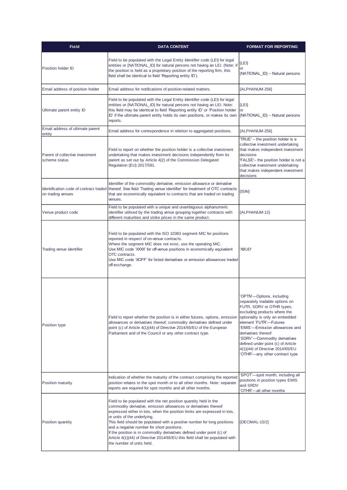| <b>Field</b>                                     | <b>DATA CONTENT</b>                                                                                                                                                                                                                                                                                                                                                                                                                                                                                                                                              | <b>FORMAT FOR REPORTING</b>                                                                                                                                                                                                                                                                                                                                                               |
|--------------------------------------------------|------------------------------------------------------------------------------------------------------------------------------------------------------------------------------------------------------------------------------------------------------------------------------------------------------------------------------------------------------------------------------------------------------------------------------------------------------------------------------------------------------------------------------------------------------------------|-------------------------------------------------------------------------------------------------------------------------------------------------------------------------------------------------------------------------------------------------------------------------------------------------------------------------------------------------------------------------------------------|
| Position holder ID                               | Field to be populated with the Legal Entity Identifier code (LEI) for legal<br>entities or {NATIONAL_ID} for natural persons not having an LEI. (Note: if<br>the position is held as a proprietary position of the reporting firm, this<br>field shall be identical to field 'Reporting entity ID').                                                                                                                                                                                                                                                             | {LEI}<br>or<br>{NATIONAL_ID} - Natural persons                                                                                                                                                                                                                                                                                                                                            |
| Email address of position holder                 | Email address for notifications of position-related matters.                                                                                                                                                                                                                                                                                                                                                                                                                                                                                                     | {ALPHANUM-256}                                                                                                                                                                                                                                                                                                                                                                            |
| Ultimate parent entity ID                        | Field to be populated with the Legal Entity Identifier code (LEI) for legal<br>entities or {NATIONAL_ID} for natural persons not having an LEI. Note:<br>this field may be identical to field 'Reporting entity ID' or 'Position holder<br>ID' if the ultimate parent entity holds its own positions, or makes its own<br>reports.                                                                                                                                                                                                                               | ${LEI}$<br>or<br>{NATIONAL ID} - Natural persons                                                                                                                                                                                                                                                                                                                                          |
| Email address of ultimate parent<br>entity       | Email address for correspondence in reletion to aggregated positions.                                                                                                                                                                                                                                                                                                                                                                                                                                                                                            | {ALPHANUM-256}                                                                                                                                                                                                                                                                                                                                                                            |
| Parent of collective investment<br>scheme status | Field to report on whether the position holder is a collective investment<br>undertaking that makes investment decisions independently from its<br>parent as set out by Article 4(2) of the Commission Delegated<br>Regulation (EU) 2017/591.                                                                                                                                                                                                                                                                                                                    | TRUE' - the position holder is a<br>collective investment undertaking<br>that makes independent investment<br>decisions<br>'FALSE'- the position holder is not a<br>collective investment undertaking<br>that makes independent investment<br>decisions                                                                                                                                   |
| on trading venues                                | Identifier of the commodity derivative, emission allowance or derivative<br>Identification code of contract traded thereof. See field 'Trading venue identifier' for treatment of OTC contracts<br>that are economically equivalent to contracts that are traded on trading<br>venues.                                                                                                                                                                                                                                                                           | $\{ \mathsf{SIN}\}\$                                                                                                                                                                                                                                                                                                                                                                      |
| Venue product code                               | Field to be populated with a unique and unambiguous alphanumeric<br>identifier utilised by the trading venue grouping together contracts with<br>different maturities and strike prices in the same product.                                                                                                                                                                                                                                                                                                                                                     | {ALPHANUM-12}                                                                                                                                                                                                                                                                                                                                                                             |
| Trading venue identifier                         | Field to be populated with the ISO 10383 segment MIC for positions<br>reported in respect of on-venue contracts.<br>Where the segment MIC does not exist, use the operating MIC.<br>Use MIC code 'XXXX' for off-venue positions in economically equivalent<br>OTC contracts.<br>Use MIC code 'XOFF' for listed derivatives or emission allowances traded<br>off-exchange.                                                                                                                                                                                        | 'XBUD'                                                                                                                                                                                                                                                                                                                                                                                    |
| Position type                                    | Field to report whether the position is in either futures, options, emission<br>allowances or derivatives thereof, commodity derivatives defined under<br>point (c) of Article 4(1)(44) of Directive 2014/65/EU of the European<br>Parliament and of the Council or any other contract type.                                                                                                                                                                                                                                                                     | OPTN'-Options, including<br>separately tradable options on<br>FUTR, SDRV or OTHR types,<br>excluding products where the<br>optionality is only an embedded<br>element 'FUTR'-Futures<br>'EMIS'-Emission allowances and<br>derivatives thereof<br>'SDRV'--Commodity derivatives<br>defined under point (c) of Article<br>4(1)(44) of Directive 2014/65/EU<br>OTHR'-any other contract type |
| <b>Position maturity</b>                         | Indication of whether the maturity of the contract comprising the reported<br>position relates to the spot month or to all other months. Note: separate<br>reports are required for spot months and all other months.                                                                                                                                                                                                                                                                                                                                            | SPOT-spot month, including all<br>positions in position types EMIS<br>and SRDV<br>OTHR'-all other months                                                                                                                                                                                                                                                                                  |
| Position quantity                                | Field to be populated with the net position quantity held in the<br>commodity derivative, emission allowances or derivatives thereof<br>expressed either in lots, when the position limits are expressed in lots,<br>or units of the underlying.<br>This field should be populated with a positive number for long positions<br>and a negative number for short positions.<br>If the position is in commodity derivatives defined under point (c) of<br>Article 4(1)(44) of Directive 2014/65/EU this field shall be populated with<br>the number of units held. | $\{DECIMAL-15/2\}$                                                                                                                                                                                                                                                                                                                                                                        |